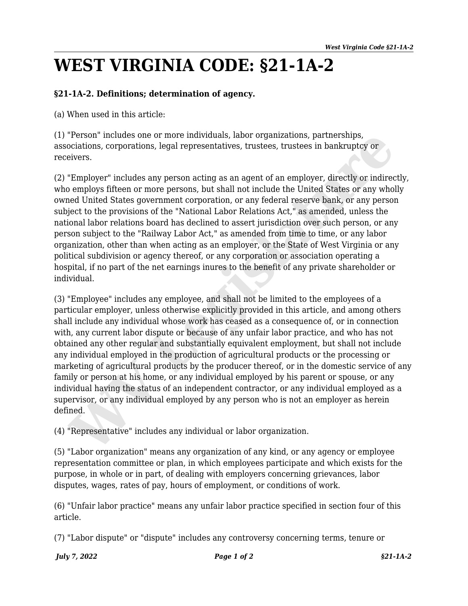## **WEST VIRGINIA CODE: §21-1A-2**

## **§21-1A-2. Definitions; determination of agency.**

(a) When used in this article:

(1) "Person" includes one or more individuals, labor organizations, partnerships, associations, corporations, legal representatives, trustees, trustees in bankruptcy or receivers.

(2) "Employer" includes any person acting as an agent of an employer, directly or indirectly, who employs fifteen or more persons, but shall not include the United States or any wholly owned United States government corporation, or any federal reserve bank, or any person subject to the provisions of the "National Labor Relations Act," as amended, unless the national labor relations board has declined to assert jurisdiction over such person, or any person subject to the "Railway Labor Act," as amended from time to time, or any labor organization, other than when acting as an employer, or the State of West Virginia or any political subdivision or agency thereof, or any corporation or association operating a hospital, if no part of the net earnings inures to the benefit of any private shareholder or individual.

(3) "Employee" includes any employee, and shall not be limited to the employees of a particular employer, unless otherwise explicitly provided in this article, and among others shall include any individual whose work has ceased as a consequence of, or in connection with, any current labor dispute or because of any unfair labor practice, and who has not obtained any other regular and substantially equivalent employment, but shall not include any individual employed in the production of agricultural products or the processing or marketing of agricultural products by the producer thereof, or in the domestic service of any family or person at his home, or any individual employed by his parent or spouse, or any individual having the status of an independent contractor, or any individual employed as a supervisor, or any individual employed by any person who is not an employer as herein defined. "Person" includes one or more individuals, labor organizations, partnerships,<br>cociations, corporations, legal representatives, trustees, trustees in bankruptoy or<br>eivers.<br>"Employer" includes any person acting as an agent o

(4) "Representative" includes any individual or labor organization.

(5) "Labor organization" means any organization of any kind, or any agency or employee representation committee or plan, in which employees participate and which exists for the purpose, in whole or in part, of dealing with employers concerning grievances, labor disputes, wages, rates of pay, hours of employment, or conditions of work.

(6) "Unfair labor practice" means any unfair labor practice specified in section four of this article.

(7) "Labor dispute" or "dispute" includes any controversy concerning terms, tenure or